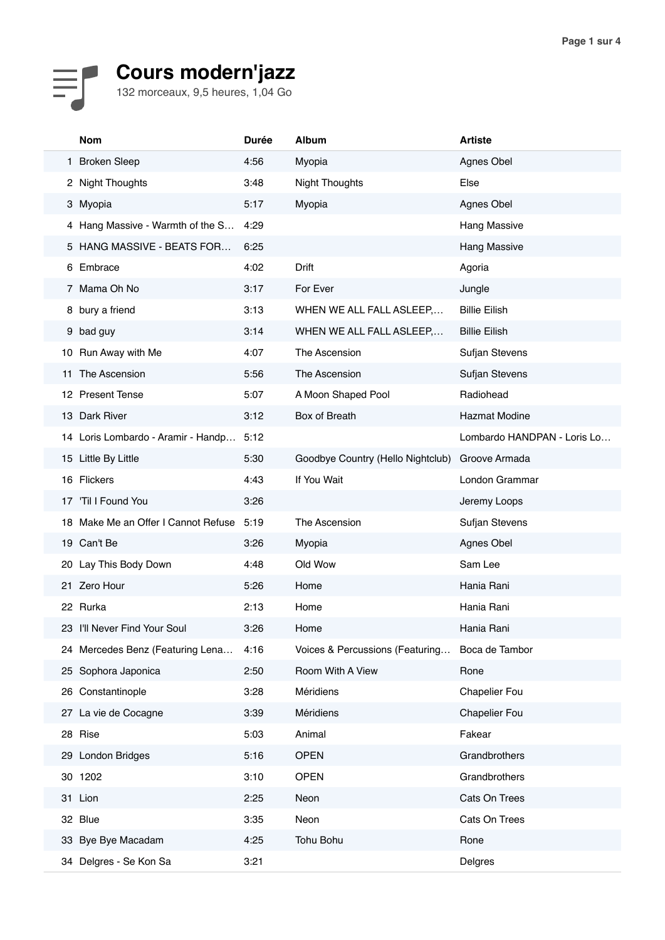## **Cours modern'jazz**

132 morceaux, 9,5 heures, 1,04 Go

|    | <b>Nom</b>                          | <b>Durée</b> | <b>Album</b>                      | <b>Artiste</b>              |
|----|-------------------------------------|--------------|-----------------------------------|-----------------------------|
|    | 1 Broken Sleep                      | 4:56         | Myopia                            | Agnes Obel                  |
|    | 2 Night Thoughts                    | 3:48         | <b>Night Thoughts</b>             | Else                        |
|    | 3 Myopia                            | 5:17         | Myopia                            | Agnes Obel                  |
|    | 4 Hang Massive - Warmth of the S    | 4:29         |                                   | Hang Massive                |
|    | 5 HANG MASSIVE - BEATS FOR          | 6:25         |                                   | <b>Hang Massive</b>         |
|    | 6 Embrace                           | 4:02         | Drift                             | Agoria                      |
|    | 7 Mama Oh No                        | 3:17         | For Ever                          | Jungle                      |
|    | 8 bury a friend                     | 3:13         | WHEN WE ALL FALL ASLEEP,          | <b>Billie Eilish</b>        |
|    | 9 bad guy                           | 3:14         | WHEN WE ALL FALL ASLEEP,          | <b>Billie Eilish</b>        |
|    | 10 Run Away with Me                 | 4:07         | The Ascension                     | Sufjan Stevens              |
| 11 | The Ascension                       | 5:56         | The Ascension                     | Sufjan Stevens              |
|    | 12 Present Tense                    | 5:07         | A Moon Shaped Pool                | Radiohead                   |
|    | 13 Dark River                       | 3:12         | Box of Breath                     | <b>Hazmat Modine</b>        |
|    | 14 Loris Lombardo - Aramir - Handp  | 5:12         |                                   | Lombardo HANDPAN - Loris Lo |
|    | 15 Little By Little                 | 5:30         | Goodbye Country (Hello Nightclub) | Groove Armada               |
|    | 16 Flickers                         | 4:43         | If You Wait                       | London Grammar              |
| 17 | 'Til I Found You                    | 3:26         |                                   | Jeremy Loops                |
|    | 18 Make Me an Offer I Cannot Refuse | 5:19         | The Ascension                     | Sufjan Stevens              |
|    | 19 Can't Be                         | 3:26         | Myopia                            | Agnes Obel                  |
|    | 20 Lay This Body Down               | 4:48         | Old Wow                           | Sam Lee                     |
|    | 21 Zero Hour                        | 5:26         | Home                              | Hania Rani                  |
|    | 22 Rurka                            | 2:13         | Home                              | Hania Rani                  |
|    | 23 I'll Never Find Your Soul        | 3:26         | Home                              | Hania Rani                  |
|    | 24 Mercedes Benz (Featuring Lena    | 4:16         | Voices & Percussions (Featuring   | Boca de Tambor              |
|    | 25 Sophora Japonica                 | 2:50         | Room With A View                  | Rone                        |
| 26 | Constantinople                      | 3:28         | Méridiens                         | <b>Chapelier Fou</b>        |
| 27 | La vie de Cocagne                   | 3:39         | Méridiens                         | <b>Chapelier Fou</b>        |
| 28 | Rise                                | 5:03         | Animal                            | Fakear                      |
|    | 29 London Bridges                   | 5:16         | <b>OPEN</b>                       | Grandbrothers               |
|    | 30 1202                             | 3:10         | <b>OPEN</b>                       | Grandbrothers               |
|    | 31 Lion                             | 2:25         | Neon                              | Cats On Trees               |
|    | 32 Blue                             | 3:35         | Neon                              | Cats On Trees               |
|    | 33 Bye Bye Macadam                  | 4:25         | Tohu Bohu                         | Rone                        |
|    | 34 Delgres - Se Kon Sa              | 3:21         |                                   | Delgres                     |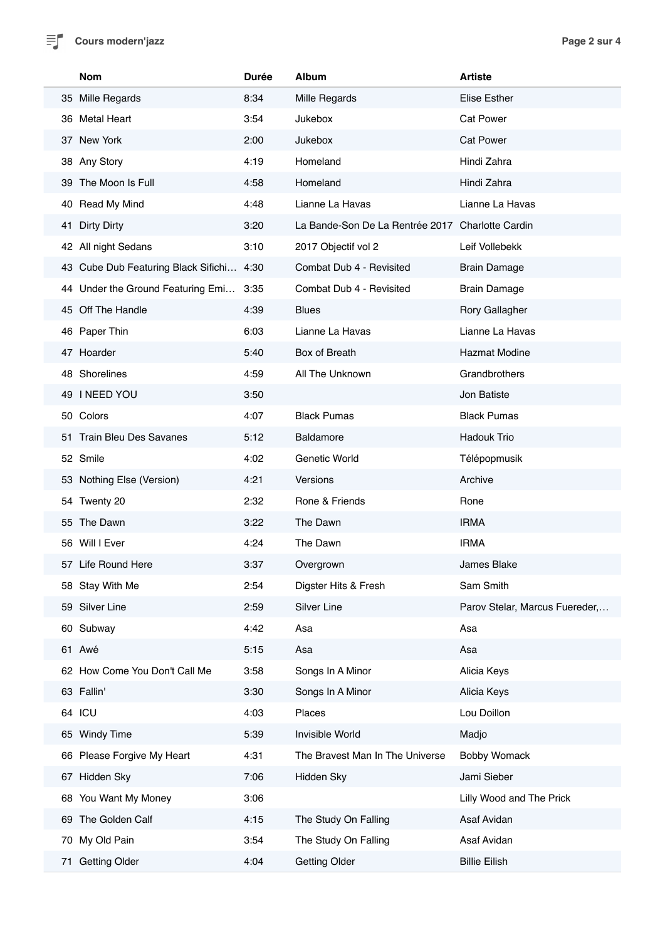

|    | <b>Nom</b>                               | <b>Durée</b> | <b>Album</b>                                     | <b>Artiste</b>                 |
|----|------------------------------------------|--------------|--------------------------------------------------|--------------------------------|
|    | 35 Mille Regards                         | 8:34         | Mille Regards                                    | <b>Elise Esther</b>            |
|    | 36 Metal Heart                           | 3:54         | Jukebox                                          | <b>Cat Power</b>               |
|    | 37 New York                              | 2:00         | Jukebox                                          | <b>Cat Power</b>               |
|    | 38 Any Story                             | 4:19         | Homeland                                         | Hindi Zahra                    |
|    | 39 The Moon Is Full                      | 4:58         | Homeland                                         | Hindi Zahra                    |
|    | 40 Read My Mind                          | 4:48         | Lianne La Havas                                  | Lianne La Havas                |
| 41 | <b>Dirty Dirty</b>                       | 3:20         | La Bande-Son De La Rentrée 2017 Charlotte Cardin |                                |
|    | 42 All night Sedans                      | 3:10         | 2017 Objectif vol 2                              | Leif Vollebekk                 |
|    | 43 Cube Dub Featuring Black Sifichi 4:30 |              | Combat Dub 4 - Revisited                         | <b>Brain Damage</b>            |
|    | 44 Under the Ground Featuring Emi 3:35   |              | Combat Dub 4 - Revisited                         | <b>Brain Damage</b>            |
|    | 45 Off The Handle                        | 4:39         | <b>Blues</b>                                     | Rory Gallagher                 |
|    | 46 Paper Thin                            | 6:03         | Lianne La Havas                                  | Lianne La Havas                |
|    | 47 Hoarder                               | 5:40         | Box of Breath                                    | <b>Hazmat Modine</b>           |
|    | 48 Shorelines                            | 4:59         | All The Unknown                                  | Grandbrothers                  |
|    | 49 I NEED YOU                            | 3:50         |                                                  | Jon Batiste                    |
|    | 50 Colors                                | 4:07         | <b>Black Pumas</b>                               | <b>Black Pumas</b>             |
|    | 51 Train Bleu Des Savanes                | 5:12         | <b>Baldamore</b>                                 | <b>Hadouk Trio</b>             |
|    | 52 Smile                                 | 4:02         | Genetic World                                    | Télépopmusik                   |
|    | 53 Nothing Else (Version)                | 4:21         | Versions                                         | Archive                        |
|    | 54 Twenty 20                             | 2:32         | Rone & Friends                                   | Rone                           |
|    | 55 The Dawn                              | 3:22         | The Dawn                                         | <b>IRMA</b>                    |
|    | 56 Will I Ever                           | 4:24         | The Dawn                                         | <b>IRMA</b>                    |
|    | 57 Life Round Here                       | 3:37         | Overgrown                                        | James Blake                    |
|    | 58 Stay With Me                          | 2:54         | Digster Hits & Fresh                             | Sam Smith                      |
|    | 59 Silver Line                           | 2:59         | Silver Line                                      | Parov Stelar, Marcus Fuereder, |
|    | 60 Subway                                | 4:42         | Asa                                              | Asa                            |
|    | 61 Awé                                   | 5:15         | Asa                                              | Asa                            |
|    | 62 How Come You Don't Call Me            | 3:58         | Songs In A Minor                                 | Alicia Keys                    |
|    | 63 Fallin'                               | 3:30         | Songs In A Minor                                 | Alicia Keys                    |
|    | 64 ICU                                   | 4:03         | Places                                           | Lou Doillon                    |
|    | 65 Windy Time                            | 5:39         | Invisible World                                  | Madjo                          |
|    | 66 Please Forgive My Heart               | 4:31         | The Bravest Man In The Universe                  | <b>Bobby Womack</b>            |
|    | 67 Hidden Sky                            | 7:06         | Hidden Sky                                       | Jami Sieber                    |
|    | 68 You Want My Money                     | 3:06         |                                                  | Lilly Wood and The Prick       |
|    | 69 The Golden Calf                       | 4:15         | The Study On Falling                             | Asaf Avidan                    |
| 70 | My Old Pain                              | 3:54         | The Study On Falling                             | Asaf Avidan                    |
| 71 | <b>Getting Older</b>                     | 4:04         | <b>Getting Older</b>                             | <b>Billie Eilish</b>           |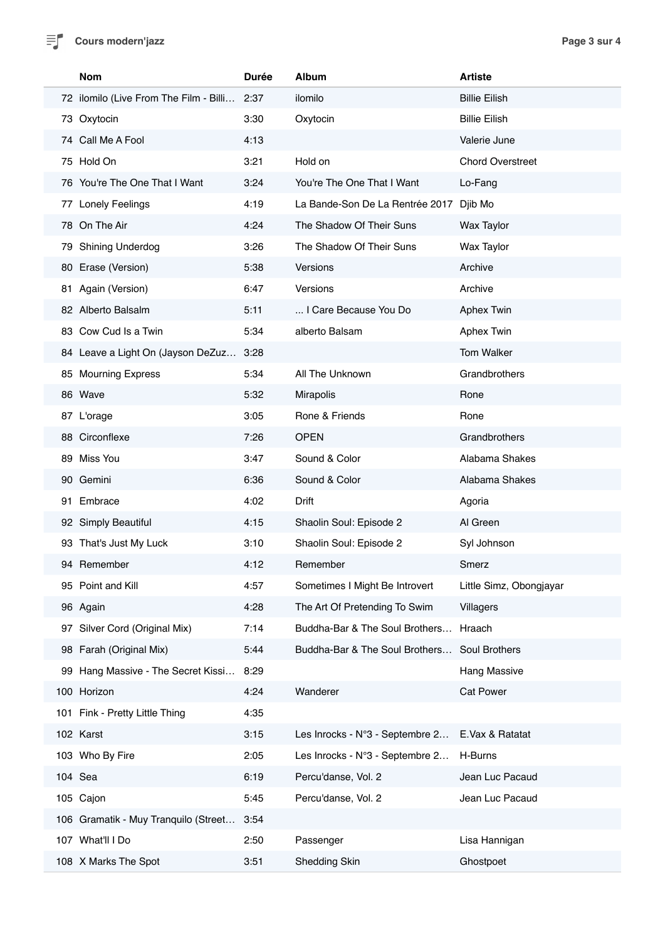$\equiv$ **Cours modern'jazz Page 3 sur 4** 

Ì

| <b>Nom</b>                             | <b>Durée</b> | <b>Album</b>                    | <b>Artiste</b>          |
|----------------------------------------|--------------|---------------------------------|-------------------------|
| 72 ilomilo (Live From The Film - Billi | 2:37         | ilomilo                         | <b>Billie Eilish</b>    |
| 73 Oxytocin                            | 3:30         | Oxytocin                        | <b>Billie Eilish</b>    |
| 74 Call Me A Fool                      | 4:13         |                                 | Valerie June            |
| 75 Hold On                             | 3:21         | Hold on                         | <b>Chord Overstreet</b> |
| 76 You're The One That I Want          | 3:24         | You're The One That I Want      | Lo-Fang                 |
| 77 Lonely Feelings                     | 4:19         | La Bande-Son De La Rentrée 2017 | Djib Mo                 |
| 78 On The Air                          | 4:24         | The Shadow Of Their Suns        | <b>Wax Taylor</b>       |
| 79 Shining Underdog                    | 3:26         | The Shadow Of Their Suns        | <b>Wax Taylor</b>       |
| 80 Erase (Version)                     | 5:38         | Versions                        | Archive                 |
| 81 Again (Version)                     | 6:47         | Versions                        | Archive                 |
| 82 Alberto Balsalm                     | 5:11         | I Care Because You Do           | <b>Aphex Twin</b>       |
| 83 Cow Cud Is a Twin                   | 5:34         | alberto Balsam                  | <b>Aphex Twin</b>       |
| 84 Leave a Light On (Jayson DeZuz      | 3:28         |                                 | Tom Walker              |
| 85 Mourning Express                    | 5:34         | All The Unknown                 | Grandbrothers           |
| 86 Wave                                | 5:32         | Mirapolis                       | Rone                    |
| 87 L'orage                             | 3:05         | Rone & Friends                  | Rone                    |
| 88 Circonflexe                         | 7:26         | <b>OPEN</b>                     | Grandbrothers           |
| 89 Miss You                            | 3:47         | Sound & Color                   | Alabama Shakes          |
| 90 Gemini                              | 6:36         | Sound & Color                   | Alabama Shakes          |
| 91 Embrace                             | 4:02         | Drift                           | Agoria                  |
| 92 Simply Beautiful                    | 4:15         | Shaolin Soul: Episode 2         | Al Green                |
| 93 That's Just My Luck                 | 3:10         | Shaolin Soul: Episode 2         | Syl Johnson             |
| 94 Remember                            | 4:12         | Remember                        | Smerz                   |
| 95 Point and Kill                      | 4:57         | Sometimes I Might Be Introvert  | Little Simz, Obongjayar |
| 96 Again                               | 4:28         | The Art Of Pretending To Swim   | Villagers               |
| 97 Silver Cord (Original Mix)          | 7:14         | Buddha-Bar & The Soul Brothers  | Hraach                  |
| 98 Farah (Original Mix)                | 5:44         | Buddha-Bar & The Soul Brothers  | Soul Brothers           |
| 99 Hang Massive - The Secret Kissi     | 8:29         |                                 | <b>Hang Massive</b>     |
| 100 Horizon                            | 4:24         | Wanderer                        | <b>Cat Power</b>        |
| 101 Fink - Pretty Little Thing         | 4:35         |                                 |                         |
| 102 Karst                              | 3:15         | Les Inrocks - N°3 - Septembre 2 | E.Vax & Ratatat         |
| 103 Who By Fire                        | 2:05         | Les Inrocks - N°3 - Septembre 2 | H-Burns                 |
| 104 Sea                                | 6:19         | Percu'danse, Vol. 2             | Jean Luc Pacaud         |
| 105 Cajon                              | 5:45         | Percu'danse, Vol. 2             | Jean Luc Pacaud         |
| 106 Gramatik - Muy Tranquilo (Street   | 3:54         |                                 |                         |
| 107 What'll I Do                       | 2:50         | Passenger                       | Lisa Hannigan           |
| 108 X Marks The Spot                   | 3:51         | <b>Shedding Skin</b>            | Ghostpoet               |